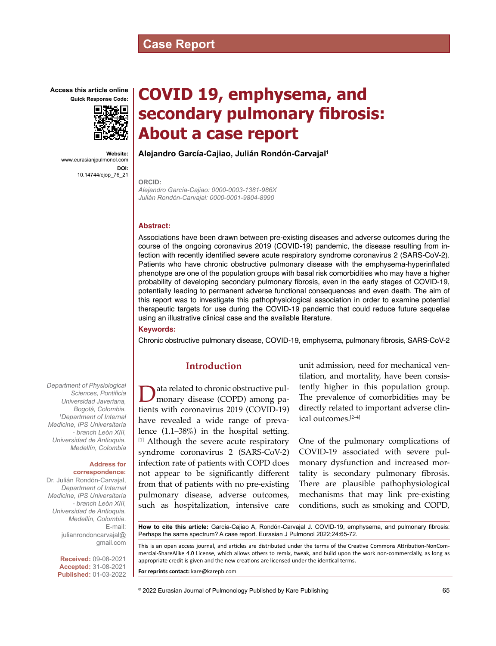# **Case Report**

**Access this article online Quick Response Code:**



**COVID 19, emphysema, and secondary pulmonary fibrosis: About a case report**

**Website:** www.eurasianjpulmonol.com **DOI:** 10.14744/ejop\_76\_21

## **Alejandro García-Cajiao, Julián Rondón-Carvajal1**

#### **ORCID:**

*Alejandro García-Cajiao: 0000-0003-1381-986X Julián Rondón-Carvajal: 0000-0001-9804-8990*

#### **Abstract:**

Associations have been drawn between pre-existing diseases and adverse outcomes during the course of the ongoing coronavirus 2019 (COVID-19) pandemic, the disease resulting from infection with recently identified severe acute respiratory syndrome coronavirus 2 (SARS-CoV-2). Patients who have chronic obstructive pulmonary disease with the emphysema-hyperinflated phenotype are one of the population groups with basal risk comorbidities who may have a higher probability of developing secondary pulmonary fibrosis, even in the early stages of COVID-19, potentially leading to permanent adverse functional consequences and even death. The aim of this report was to investigate this pathophysiological association in order to examine potential therapeutic targets for use during the COVID-19 pandemic that could reduce future sequelae using an illustrative clinical case and the available literature.

#### **Keywords:**

Chronic obstructive pulmonary disease, COVID-19, emphysema, pulmonary fibrosis, SARS-CoV-2

# **Introduction**

Data related to chronic obstructive pul-<br>
monary disease (COPD) among patients with coronavirus 2019 (COVID-19) have revealed a wide range of prevalence (1.1–38%) in the hospital setting. [1] Although the severe acute respiratory syndrome coronavirus 2 (SARS-CoV-2) infection rate of patients with COPD does not appear to be significantly different from that of patients with no pre-existing pulmonary disease, adverse outcomes, such as hospitalization, intensive care

unit admission, need for mechanical ventilation, and mortality, have been consistently higher in this population group. The prevalence of comorbidities may be directly related to important adverse clinical outcomes.[2–4]

One of the pulmonary complications of COVID-19 associated with severe pulmonary dysfunction and increased mortality is secondary pulmonary fibrosis. There are plausible pathophysiological mechanisms that may link pre-existing conditions, such as smoking and COPD,

**How to cite this article:** García-Cajiao A, Rondón-Carvajal J. COVID-19, emphysema, and pulmonary fibrosis: Perhaps the same spectrum? A case report. Eurasian J Pulmonol 2022;24:65-72.

This is an open access journal, and articles are distributed under the terms of the Creative Commons Attribution-NonCommercial‑ShareAlike 4.0 License, which allows others to remix, tweak, and build upon the work non‑commercially, as long as appropriate credit is given and the new creations are licensed under the identical terms.

**For reprints contact:** kare@karepb.com

© 2022 Eurasian Journal of Pulmonology Published by Kare Publishing

*Department of Physiological Sciences, Pontificia Universidad Javeriana, Bogotá, Colombia, 1 Department of Internal Medicine, IPS Universitaria - branch León XIII, Universidad de Antioquia, Medellín, Colombia*

#### **Address for correspondence:**

Dr. Julián Rondón-Carvajal, *Department of Internal Medicine, IPS Universitaria - branch León XIII, Universidad de Antioquia, Medellín, Colombia*. E-mail: julianrondoncarvajal@ gmail.com

> **Received:** 09-08-2021 **Accepted:** 31-08-2021 **Published:** 01-03-2022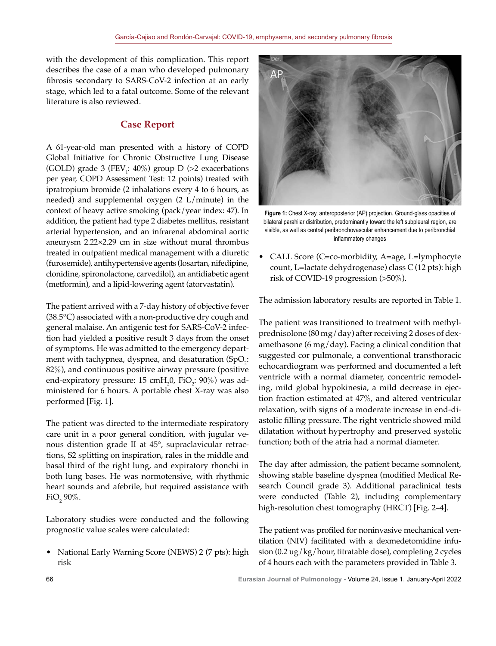with the development of this complication. This report describes the case of a man who developed pulmonary fibrosis secondary to SARS-CoV-2 infection at an early stage, which led to a fatal outcome. Some of the relevant literature is also reviewed.

# **Case Report**

A 61-year-old man presented with a history of COPD Global Initiative for Chronic Obstructive Lung Disease (GOLD) grade 3 (FEV<sub>1</sub>:  $40\%$ ) group D (>2 exacerbations per year, COPD Assessment Test: 12 points) treated with ipratropium bromide (2 inhalations every 4 to 6 hours, as needed) and supplemental oxygen (2 L/minute) in the context of heavy active smoking (pack/year index: 47). In addition, the patient had type 2 diabetes mellitus, resistant arterial hypertension, and an infrarenal abdominal aortic aneurysm 2.22×2.29 cm in size without mural thrombus treated in outpatient medical management with a diuretic (furosemide), antihypertensive agents (losartan, nifedipine, clonidine, spironolactone, carvedilol), an antidiabetic agent (metformin), and a lipid-lowering agent (atorvastatin).

The patient arrived with a 7-day history of objective fever (38.5°C) associated with a non-productive dry cough and general malaise. An antigenic test for SARS-CoV-2 infection had yielded a positive result 3 days from the onset of symptoms. He was admitted to the emergency department with tachypnea, dyspnea, and desaturation (SpO<sub>2</sub>: 82%), and continuous positive airway pressure (positive end-expiratory pressure: 15 cm $\rm H_2$ 0, FiO<sub>2</sub>: 90%) was administered for 6 hours. A portable chest X-ray was also performed [Fig. 1].

The patient was directed to the intermediate respiratory care unit in a poor general condition, with jugular venous distention grade II at 45°, supraclavicular retractions, S2 splitting on inspiration, rales in the middle and basal third of the right lung, and expiratory rhonchi in both lung bases. He was normotensive, with rhythmic heart sounds and afebrile, but required assistance with FiO<sub>2</sub> 90%.

Laboratory studies were conducted and the following prognostic value scales were calculated:

• National Early Warning Score (NEWS) 2 (7 pts): high risk



**Figure 1:** Chest X-ray, anteroposterior (AP) projection. Ground-glass opacities of bilateral parahilar distribution, predominantly toward the left subpleural region, are visible, as well as central peribronchovascular enhancement due to peribronchial inflammatory changes

• CALL Score (C=co-morbidity, A=age, L=lymphocyte count, L=lactate dehydrogenase) class C (12 pts): high risk of COVID-19 progression (>50%).

The admission laboratory results are reported in Table 1.

The patient was transitioned to treatment with methylprednisolone (80 mg/day) after receiving 2 doses of dexamethasone (6 mg/day). Facing a clinical condition that suggested cor pulmonale, a conventional transthoracic echocardiogram was performed and documented a left ventricle with a normal diameter, concentric remodeling, mild global hypokinesia, a mild decrease in ejection fraction estimated at 47%, and altered ventricular relaxation, with signs of a moderate increase in end-diastolic filling pressure. The right ventricle showed mild dilatation without hypertrophy and preserved systolic function; both of the atria had a normal diameter.

The day after admission, the patient became somnolent, showing stable baseline dyspnea (modified Medical Research Council grade 3). Additional paraclinical tests were conducted (Table 2), including complementary high-resolution chest tomography (HRCT) [Fig. 2–4].

The patient was profiled for noninvasive mechanical ventilation (NIV) facilitated with a dexmedetomidine infusion (0.2 ug/kg/hour, titratable dose), completing 2 cycles of 4 hours each with the parameters provided in Table 3.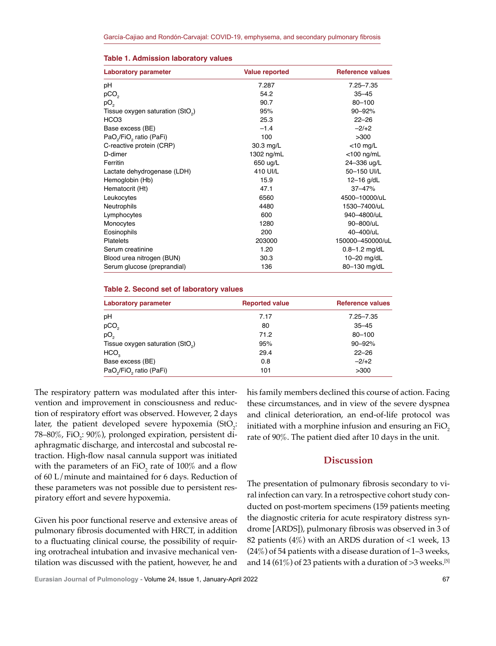| <b>Laboratory parameter</b>                     | <b>Value reported</b> | <b>Reference values</b> |  |
|-------------------------------------------------|-----------------------|-------------------------|--|
| рH                                              | 7.287                 | $7.25 - 7.35$           |  |
| pCO <sub>2</sub>                                | 54.2                  | $35 - 45$               |  |
| pO <sub>2</sub>                                 | 90.7                  | 80-100                  |  |
| Tissue oxygen saturation (StO <sub>2</sub> )    | 95%                   | 90-92%                  |  |
| HCO <sub>3</sub>                                | 25.3                  | $22 - 26$               |  |
| Base excess (BE)                                | $-1.4$                | $-2/+2$                 |  |
| PaO <sub>2</sub> /FiO <sub>2</sub> ratio (PaFi) | 100                   | >300                    |  |
| C-reactive protein (CRP)                        | 30.3 mg/L             | $<$ 10 mg/L             |  |
| D-dimer                                         | 1302 ng/mL            | $<$ 100 ng/mL           |  |
| Ferritin                                        | 650 ug/L              | 24-336 ug/L             |  |
| Lactate dehydrogenase (LDH)                     | 410 UI/L              | 50-150 UI/L             |  |
| Hemoglobin (Hb)                                 | 15.9                  | 12-16 g/dL              |  |
| Hematocrit (Ht)                                 | 47.1                  | $37 - 47%$              |  |
| Leukocytes                                      | 6560                  | 4500-10000/uL           |  |
| Neutrophils                                     | 4480                  | 1530-7400/uL            |  |
| Lymphocytes                                     | 600                   | 940-4800/uL             |  |
| Monocytes                                       | 1280                  | 90-800/uL               |  |
| Eosinophils                                     | 200                   | 40-400/uL               |  |
| <b>Platelets</b>                                | 203000                | 150000-450000/uL        |  |
| Serum creatinine                                | 1.20                  | $0.8 - 1.2$ mg/dL       |  |
| Blood urea nitrogen (BUN)                       | 30.3                  | 10-20 mg/dL             |  |
| Serum glucose (preprandial)                     | 136                   | 80-130 mg/dL            |  |

#### **Table 1. Admission laboratory values**

#### **Table 2. Second set of laboratory values**

| <b>Laboratory parameter</b>                     | <b>Reported value</b> | <b>Reference values</b> |  |
|-------------------------------------------------|-----------------------|-------------------------|--|
| pH                                              | 7.17                  | 7.25-7.35               |  |
| pCO <sub>2</sub>                                | 80                    | $35 - 45$               |  |
| pO <sub>2</sub>                                 | 71.2                  | $80 - 100$              |  |
| Tissue oxygen saturation (StO <sub>2</sub> )    | 95%                   | 90-92%                  |  |
| HCO <sub>2</sub>                                | 29.4                  | $22 - 26$               |  |
| Base excess (BE)                                | 0.8                   | $-2/+2$                 |  |
| PaO <sub>2</sub> /FiO <sub>2</sub> ratio (PaFi) | 101                   | >300                    |  |

The respiratory pattern was modulated after this intervention and improvement in consciousness and reduction of respiratory effort was observed. However, 2 days later, the patient developed severe hypoxemia  $(StO<sub>2</sub>:$ 78–80%, FiO $_2$ : 90%), prolonged expiration, persistent diaphragmatic discharge, and intercostal and subcostal retraction. High-flow nasal cannula support was initiated with the parameters of an FiO<sub>2</sub> rate of 100% and a flow of 60 L/minute and maintained for 6 days. Reduction of these parameters was not possible due to persistent respiratory effort and severe hypoxemia.

Given his poor functional reserve and extensive areas of pulmonary fibrosis documented with HRCT, in addition to a fluctuating clinical course, the possibility of requiring orotracheal intubation and invasive mechanical ventilation was discussed with the patient, however, he and his family members declined this course of action. Facing these circumstances, and in view of the severe dyspnea and clinical deterioration, an end-of-life protocol was initiated with a morphine infusion and ensuring an  $FiO<sub>2</sub>$ rate of 90%. The patient died after 10 days in the unit.

## **Discussion**

The presentation of pulmonary fibrosis secondary to viral infection can vary. In a retrospective cohort study conducted on post-mortem specimens (159 patients meeting the diagnostic criteria for acute respiratory distress syndrome [ARDS]), pulmonary fibrosis was observed in 3 of 82 patients (4%) with an ARDS duration of <1 week, 13 (24%) of 54 patients with a disease duration of 1–3 weeks, and 14 (61%) of 23 patients with a duration of  $>$ 3 weeks.<sup>[5]</sup>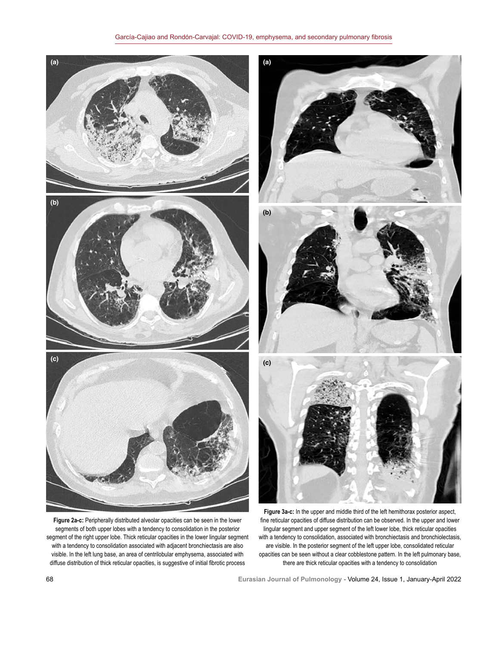

**Figure 2a-c:** Peripherally distributed alveolar opacities can be seen in the lower segments of both upper lobes with a tendency to consolidation in the posterior segment of the right upper lobe. Thick reticular opacities in the lower lingular segment with a tendency to consolidation associated with adjacent bronchiectasis are also visible. In the left lung base, an area of centrilobular emphysema, associated with diffuse distribution of thick reticular opacities, is suggestive of initial fibrotic process

fine reticular opacities of diffuse distribution can be observed. In the upper and lower lingular segment and upper segment of the left lower lobe, thick reticular opacities with a tendency to consolidation, associated with bronchiectasis and bronchiolectasis, are visible. In the posterior segment of the left upper lobe, consolidated reticular opacities can be seen without a clear cobblestone pattern. In the left pulmonary base, there are thick reticular opacities with a tendency to consolidation

68 **Eurasian Journal of Pulmonology -** Volume 24, Issue 1, January-April 2022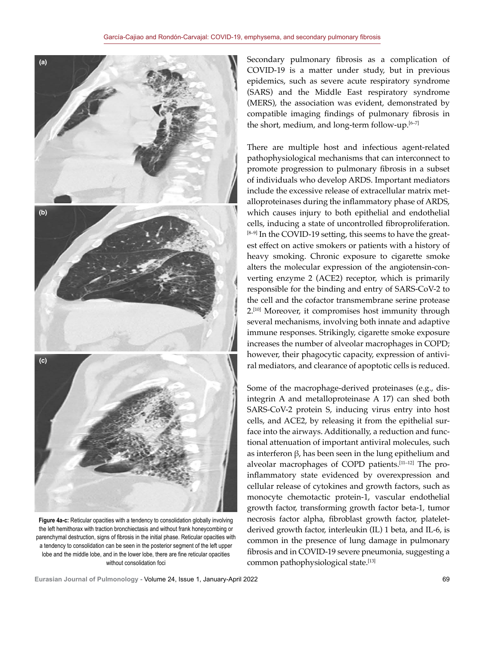

**Figure 4a-c:** Reticular opacities with a tendency to consolidation globally involving the left hemithorax with traction bronchiectasis and without frank honeycombing or parenchymal destruction, signs of fibrosis in the initial phase. Reticular opacities with a tendency to consolidation can be seen in the posterior segment of the left upper lobe and the middle lobe, and in the lower lobe, there are fine reticular opacities without consolidation foci

Secondary pulmonary fibrosis as a complication of COVID-19 is a matter under study, but in previous epidemics, such as severe acute respiratory syndrome (SARS) and the Middle East respiratory syndrome (MERS), the association was evident, demonstrated by compatible imaging findings of pulmonary fibrosis in the short, medium, and long-term follow-up.  $[6-7]$ 

There are multiple host and infectious agent-related pathophysiological mechanisms that can interconnect to promote progression to pulmonary fibrosis in a subset of individuals who develop ARDS. Important mediators include the excessive release of extracellular matrix metalloproteinases during the inflammatory phase of ARDS, which causes injury to both epithelial and endothelial cells, inducing a state of uncontrolled fibroproliferation.  $[8-9]$  In the COVID-19 setting, this seems to have the greatest effect on active smokers or patients with a history of heavy smoking. Chronic exposure to cigarette smoke alters the molecular expression of the angiotensin-converting enzyme 2 (ACE2) receptor, which is primarily responsible for the binding and entry of SARS-CoV-2 to the cell and the cofactor transmembrane serine protease 2.[10] Moreover, it compromises host immunity through several mechanisms, involving both innate and adaptive immune responses. Strikingly, cigarette smoke exposure increases the number of alveolar macrophages in COPD; however, their phagocytic capacity, expression of antiviral mediators, and clearance of apoptotic cells is reduced.

Some of the macrophage-derived proteinases (e.g., disintegrin A and metalloproteinase A 17) can shed both SARS-CoV-2 protein S, inducing virus entry into host cells, and ACE2, by releasing it from the epithelial surface into the airways. Additionally, a reduction and functional attenuation of important antiviral molecules, such as interferon β, has been seen in the lung epithelium and alveolar macrophages of COPD patients.[11–12] The proinflammatory state evidenced by overexpression and cellular release of cytokines and growth factors, such as monocyte chemotactic protein-1, vascular endothelial growth factor, transforming growth factor beta-1, tumor necrosis factor alpha, fibroblast growth factor, plateletderived growth factor, interleukin (IL) 1 beta, and IL-6, is common in the presence of lung damage in pulmonary fibrosis and in COVID-19 severe pneumonia, suggesting a common pathophysiological state.[13]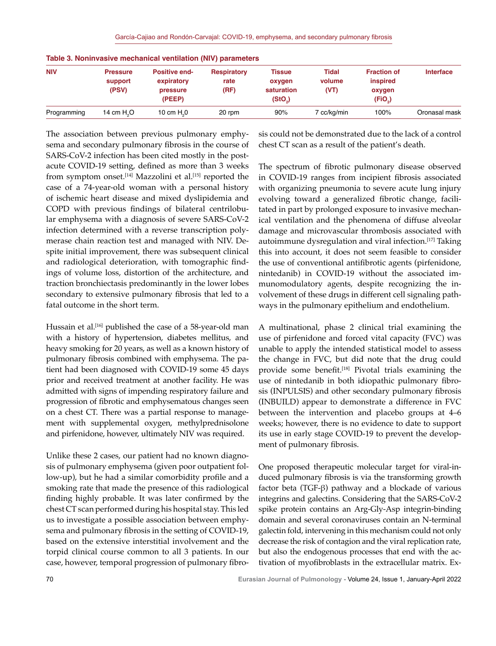| <b>NIV</b>  | <b>Pressure</b><br>support<br>(PSV) | <b>Positive end-</b><br>expiratory<br>pressure<br>(PEEP) | <b>Respiratory</b><br>rate<br>(RF) | Tissue<br>oxygen<br>saturation<br>(StO <sub>a</sub> ) | Tidal<br>volume<br>(VT) | <b>Fraction of</b><br>inspired<br>oxygen<br>(FIO <sub>n</sub> ) | Interface     |
|-------------|-------------------------------------|----------------------------------------------------------|------------------------------------|-------------------------------------------------------|-------------------------|-----------------------------------------------------------------|---------------|
| Programming | 14 cm H <sub>2</sub> O              | 10 cm $H20$                                              | 20 rpm                             | 90%                                                   | 7 cc/kg/min             | 100%                                                            | Oronasal mask |

**Table 3. Noninvasive mechanical ventilation (NIV) parameters**

The association between previous pulmonary emphysema and secondary pulmonary fibrosis in the course of SARS-CoV-2 infection has been cited mostly in the postacute COVID-19 setting, defined as more than 3 weeks from symptom onset.<sup>[14]</sup> Mazzolini et al.<sup>[15]</sup> reported the case of a 74-year-old woman with a personal history of ischemic heart disease and mixed dyslipidemia and COPD with previous findings of bilateral centrilobular emphysema with a diagnosis of severe SARS-CoV-2 infection determined with a reverse transcription polymerase chain reaction test and managed with NIV. Despite initial improvement, there was subsequent clinical and radiological deterioration, with tomographic findings of volume loss, distortion of the architecture, and traction bronchiectasis predominantly in the lower lobes secondary to extensive pulmonary fibrosis that led to a fatal outcome in the short term.

Hussain et al.<sup>[16]</sup> published the case of a 58-year-old man with a history of hypertension, diabetes mellitus, and heavy smoking for 20 years, as well as a known history of pulmonary fibrosis combined with emphysema. The patient had been diagnosed with COVID-19 some 45 days prior and received treatment at another facility. He was admitted with signs of impending respiratory failure and progression of fibrotic and emphysematous changes seen on a chest CT. There was a partial response to management with supplemental oxygen, methylprednisolone and pirfenidone, however, ultimately NIV was required.

Unlike these 2 cases, our patient had no known diagnosis of pulmonary emphysema (given poor outpatient follow-up), but he had a similar comorbidity profile and a smoking rate that made the presence of this radiological finding highly probable. It was later confirmed by the chest CT scan performed during his hospital stay. This led us to investigate a possible association between emphysema and pulmonary fibrosis in the setting of COVID-19, based on the extensive interstitial involvement and the torpid clinical course common to all 3 patients. In our case, however, temporal progression of pulmonary fibrosis could not be demonstrated due to the lack of a control chest CT scan as a result of the patient's death.

The spectrum of fibrotic pulmonary disease observed in COVID-19 ranges from incipient fibrosis associated with organizing pneumonia to severe acute lung injury evolving toward a generalized fibrotic change, facilitated in part by prolonged exposure to invasive mechanical ventilation and the phenomena of diffuse alveolar damage and microvascular thrombosis associated with autoimmune dysregulation and viral infection.[17] Taking this into account, it does not seem feasible to consider the use of conventional antifibrotic agents (pirfenidone, nintedanib) in COVID-19 without the associated immunomodulatory agents, despite recognizing the involvement of these drugs in different cell signaling pathways in the pulmonary epithelium and endothelium.

A multinational, phase 2 clinical trial examining the use of pirfenidone and forced vital capacity (FVC) was unable to apply the intended statistical model to assess the change in FVC, but did note that the drug could provide some benefit.<sup>[18]</sup> Pivotal trials examining the use of nintedanib in both idiopathic pulmonary fibrosis (INPULSIS) and other secondary pulmonary fibrosis (INBUILD) appear to demonstrate a difference in FVC between the intervention and placebo groups at 4–6 weeks; however, there is no evidence to date to support its use in early stage COVID-19 to prevent the development of pulmonary fibrosis.

One proposed therapeutic molecular target for viral-induced pulmonary fibrosis is via the transforming growth factor beta (TGF-β) pathway and a blockade of various integrins and galectins. Considering that the SARS-CoV-2 spike protein contains an Arg-Gly-Asp integrin-binding domain and several coronaviruses contain an N-terminal galectin fold, intervening in this mechanism could not only decrease the risk of contagion and the viral replication rate, but also the endogenous processes that end with the activation of myofibroblasts in the extracellular matrix. Ex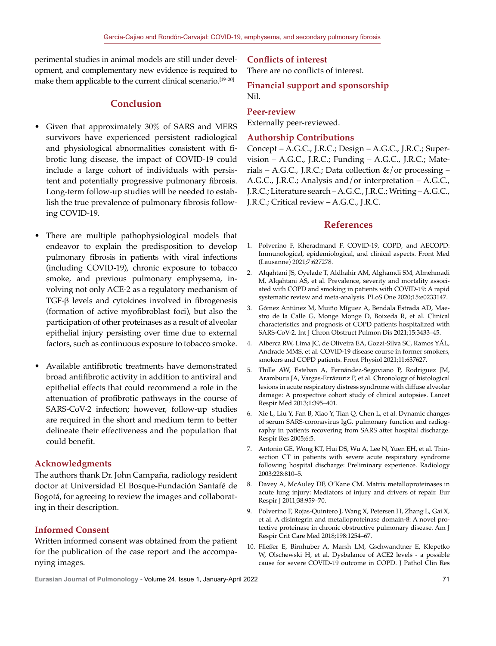perimental studies in animal models are still under development, and complementary new evidence is required to make them applicable to the current clinical scenario.<sup>[19–20]</sup>

# **Conclusion**

- Given that approximately 30% of SARS and MERS survivors have experienced persistent radiological and physiological abnormalities consistent with fibrotic lung disease, the impact of COVID-19 could include a large cohort of individuals with persistent and potentially progressive pulmonary fibrosis. Long-term follow-up studies will be needed to establish the true prevalence of pulmonary fibrosis following COVID-19.
- There are multiple pathophysiological models that endeavor to explain the predisposition to develop pulmonary fibrosis in patients with viral infections (including COVID-19), chronic exposure to tobacco smoke, and previous pulmonary emphysema, involving not only ACE-2 as a regulatory mechanism of TGF-β levels and cytokines involved in fibrogenesis (formation of active myofibroblast foci), but also the participation of other proteinases as a result of alveolar epithelial injury persisting over time due to external factors, such as continuous exposure to tobacco smoke.
- Available antifibrotic treatments have demonstrated broad antifibrotic activity in addition to antiviral and epithelial effects that could recommend a role in the attenuation of profibrotic pathways in the course of SARS-CoV-2 infection; however, follow-up studies are required in the short and medium term to better delineate their effectiveness and the population that could benefit.

## **Acknowledgments**

The authors thank Dr. John Campaña, radiology resident doctor at Universidad El Bosque-Fundación Santafé de Bogotá, for agreeing to review the images and collaborating in their description.

#### **Informed Consent**

Written informed consent was obtained from the patient for the publication of the case report and the accompanying images.

## **Conflicts of interest**

There are no conflicts of interest.

# **Financial support and sponsorship** Nil.

#### **Peer-review**

Externally peer-reviewed.

## **Authorship Contributions**

Concept – A.G.C., J.R.C.; Design – A.G.C., J.R.C.; Supervision – A.G.C., J.R.C.; Funding – A.G.C., J.R.C.; Materials – A.G.C., J.R.C.; Data collection  $\&/$  or processing – A.G.C., J.R.C.; Analysis and/or interpretation – A.G.C., J.R.C.; Literature search – A.G.C., J.R.C.; Writing – A.G.C., J.R.C.; Critical review – A.G.C., J.R.C.

## **References**

- 1. Polverino F, Kheradmand F. COVID-19, COPD, and AECOPD: Immunological, epidemiological, and clinical aspects. Front Med (Lausanne) 2021;7:627278.
- 2. Alqahtani JS, Oyelade T, Aldhahir AM, Alghamdi SM, Almehmadi M, Alqahtani AS, et al. Prevalence, severity and mortality associated with COPD and smoking in patients with COVID-19: A rapid systematic review and meta-analysis. PLoS One 2020;15:e0233147.
- 3. Gómez Antúnez M, Muiño Míguez A, Bendala Estrada AD, Maestro de la Calle G, Monge Monge D, Boixeda R, et al. Clinical characteristics and prognosis of COPD patients hospitalized with SARS-CoV-2. Int J Chron Obstruct Pulmon Dis 2021;15:3433–45.
- 4. Alberca RW, Lima JC, de Oliveira EA, Gozzi-Silva SC, Ramos YÁL, Andrade MMS, et al. COVID-19 disease course in former smokers, smokers and COPD patients. Front Physiol 2021;11:637627.
- 5. Thille AW, Esteban A, Fernández-Segoviano P, Rodriguez JM, Aramburu JA, Vargas-Errázuriz P, et al. Chronology of histological lesions in acute respiratory distress syndrome with diffuse alveolar damage: A prospective cohort study of clinical autopsies. Lancet Respir Med 2013;1:395–401.
- 6. Xie L, Liu Y, Fan B, Xiao Y, Tian Q, Chen L, et al. Dynamic changes of serum SARS-coronavirus IgG, pulmonary function and radiography in patients recovering from SARS after hospital discharge. Respir Res 2005;6:5.
- 7. Antonio GE, Wong KT, Hui DS, Wu A, Lee N, Yuen EH, et al. Thinsection CT in patients with severe acute respiratory syndrome following hospital discharge: Preliminary experience. Radiology 2003;228:810–5.
- 8. Davey A, McAuley DF, O'Kane CM. Matrix metalloproteinases in acute lung injury: Mediators of injury and drivers of repair. Eur Respir J 2011;38:959–70.
- 9. Polverino F, Rojas-Quintero J, Wang X, Petersen H, Zhang L, Gai X, et al. A disintegrin and metalloproteinase domain-8: A novel protective proteinase in chronic obstructive pulmonary disease. Am J Respir Crit Care Med 2018;198:1254–67.
- 10. Fließer E, Birnhuber A, Marsh LM, Gschwandtner E, Klepetko W, Olschewski H, et al. Dysbalance of ACE2 levels - a possible cause for severe COVID-19 outcome in COPD. J Pathol Clin Res